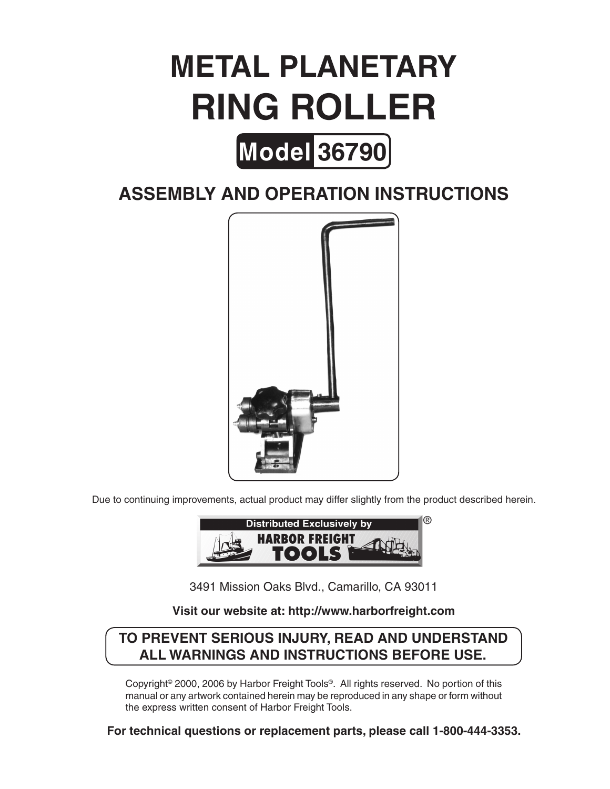# **METAL PLANETARY RING ROLLER**



# **Assembly And Operation Instructions**



Due to continuing improvements, actual product may differ slightly from the product described herein.



3491 Mission Oaks Blvd., Camarillo, CA 93011

### **Visit our website at: http://www.harborfreight.com**

## **To prevent serious injury, read and understand all warnings and instructions before use.**

Copyright© 2000, 2006 by Harbor Freight Tools®. All rights reserved. No portion of this manual or any artwork contained herein may be reproduced in any shape or form without the express written consent of Harbor Freight Tools.

**For technical questions or replacement parts, please call 1-800-444-3353.**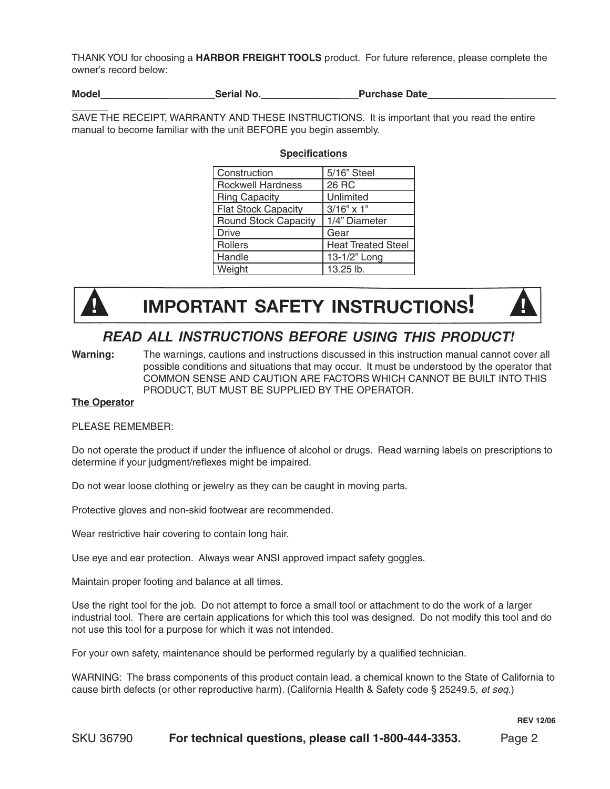THANK YOU for choosing a **HARBOR FREIGHT TOOLS** product. For future reference, please complete the owner's record below:

**Model\_\_\_\_\_\_\_\_\_\_\_\_ Serial No.\_\_\_\_\_\_\_\_\_\_\_\_\_\_ Purchase Date\_\_\_\_\_\_\_\_\_\_\_\_\_\_** 

SAVE THE RECEIPT, WARRANTY AND THESE INSTRUCTIONS. It is important that you read the entire manual to become familiar with the unit BEFORE you begin assembly.

| Construction                | 5/16" Steel               |  |  |
|-----------------------------|---------------------------|--|--|
| <b>Rockwell Hardness</b>    | 26 RC                     |  |  |
| <b>Ring Capacity</b>        | Unlimited                 |  |  |
| <b>Flat Stock Capacity</b>  | $3/16" \times 1"$         |  |  |
| <b>Round Stock Capacity</b> | 1/4" Diameter             |  |  |
| <b>Drive</b>                | Gear                      |  |  |
| Rollers                     | <b>Heat Treated Steel</b> |  |  |
| Handle                      | 13-1/2" Long              |  |  |
| Weight                      | 13.25 lb.                 |  |  |

#### **Specifications**



# **IMPORTANT SAFETY INSTRUCTIONS!**



## READ ALL INSTRUCTIONS BEFORE USING THIS PRODUCT!

**Warning:** The warnings, cautions and instructions discussed in this instruction manual cannot cover all possible conditions and situations that may occur. It must be understood by the operator that COMMON SENSE AND CAUTION ARE FACTORS WHICH CANNOT BE BUILT INTO THIS PRODUCT, BUT MUST BE SUPPLIED BY THE OPERATOR.

#### **The Operator**

#### PLEASE REMEMBER:

Do not operate the product if under the influence of alcohol or drugs. Read warning labels on prescriptions to determine if your judgment/reflexes might be impaired.

Do not wear loose clothing or jewelry as they can be caught in moving parts.

Protective gloves and non-skid footwear are recommended.

Wear restrictive hair covering to contain long hair.

Use eye and ear protection. Always wear ANSI approved impact safety goggles.

Maintain proper footing and balance at all times.

Use the right tool for the job. Do not attempt to force a small tool or attachment to do the work of a larger industrial tool. There are certain applications for which this tool was designed. Do not modify this tool and do not use this tool for a purpose for which it was not intended.

For your own safety, maintenance should be performed regularly by a qualified technician.

WARNING: The brass components of this product contain lead, a chemical known to the State of California to cause birth defects (or other reproductive harm). (California Health & Safety code § 25249.5, *et seq.*)

**REV 12/06**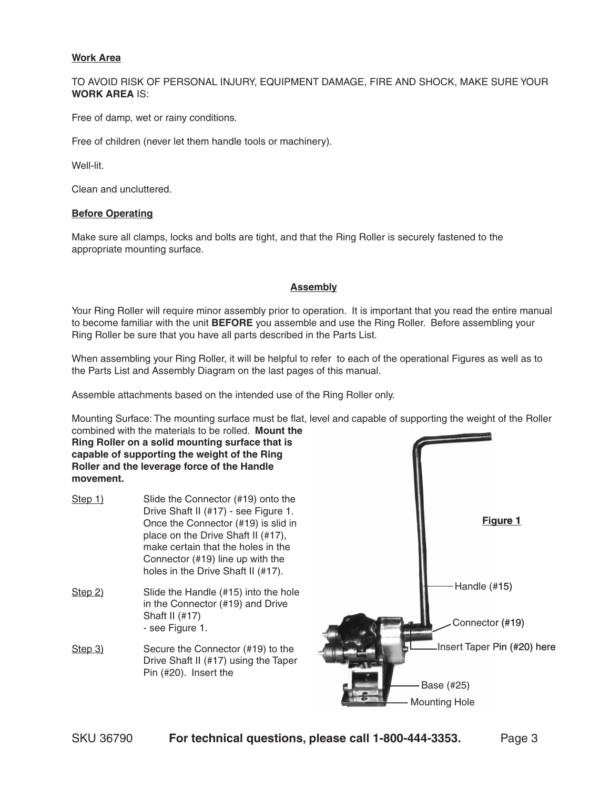#### **Work Area**

TO AVOID RISK OF PERSONAL INJURY, EQUIPMENT DAMAGE, FIRE AND SHOCK, MAKE SURE YOUR **WORK AREA** IS:

Free of damp, wet or rainy conditions.

Free of children (never let them handle tools or machinery).

Well-lit.

Clean and uncluttered.

#### **Before Operating**

Make sure all clamps, locks and bolts are tight, and that the Ring Roller is securely fastened to the appropriate mounting surface.

#### **Assembly**

Your Ring Roller will require minor assembly prior to operation. It is important that you read the entire manual to become familiar with the unit **BEFORE** you assemble and use the Ring Roller. Before assembling your Ring Roller be sure that you have all parts described in the Parts List.

When assembling your Ring Roller, it will be helpful to refer to each of the operational Figures as well as to the Parts List and Assembly Diagram on the last pages of this manual.

Assemble attachments based on the intended use of the Ring Roller only.

Mounting Surface: The mounting surface must be flat, level and capable of supporting the weight of the Roller combined with the materials to be rolled. **Mount the** 

**Ring Roller on a solid mounting surface that is capable of supporting the weight of the Ring Roller and the leverage force of the Handle movement.**

- Step 1) Slide the Connector (#19) onto the Drive Shaft II (#17) - see Figure 1. Once the Connector (#19) is slid in place on the Drive Shaft II (#17), make certain that the holes in the Connector (#19) line up with the holes in the Drive Shaft II (#17).
- Step 2) Slide the Handle (#15) into the hole in the Connector (#19) and Drive Shaft II (#17) - see Figure 1.
- Step 3) Secure the Connector (#19) to the Drive Shaft II (#17) using the Taper Pin (#20). Insert the

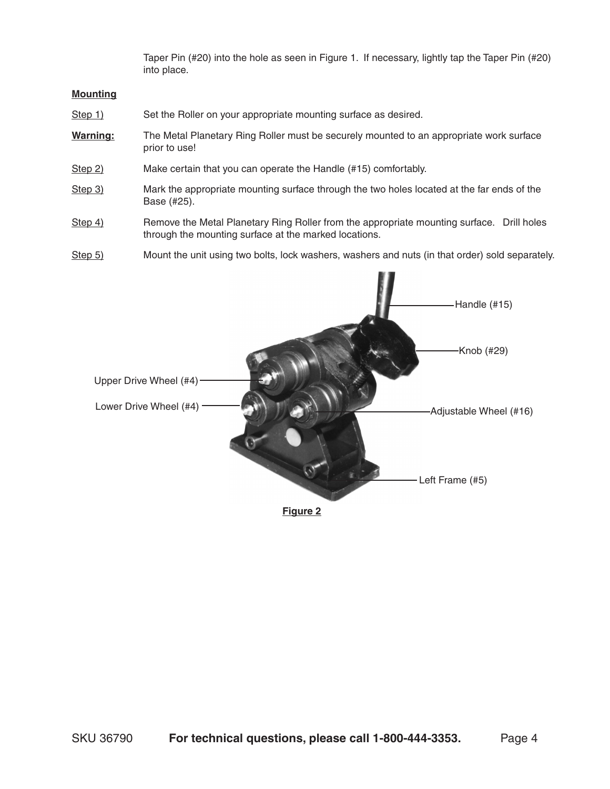Taper Pin (#20) into the hole as seen in Figure 1. If necessary, lightly tap the Taper Pin (#20) into place.

#### **Mounting**

- Step 1) Set the Roller on your appropriate mounting surface as desired.
- **Warning:** The Metal Planetary Ring Roller must be securely mounted to an appropriate work surface prior to use!
- Step 2) Make certain that you can operate the Handle (#15) comfortably.
- Step 3) Mark the appropriate mounting surface through the two holes located at the far ends of the Base (#25).
- Step 4) Remove the Metal Planetary Ring Roller from the appropriate mounting surface. Drill holes through the mounting surface at the marked locations.
- Step 5) Mount the unit using two bolts, lock washers, washers and nuts (in that order) sold separately.



**Figure 2**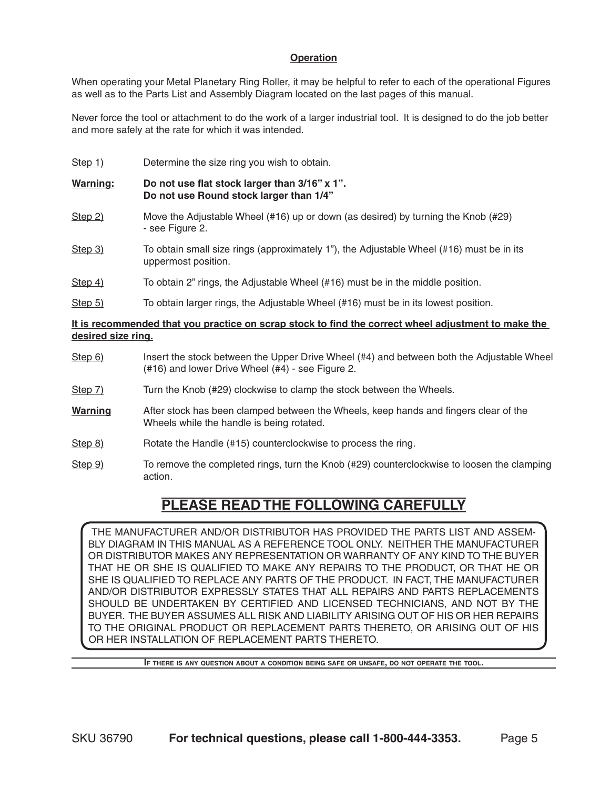#### **Operation**

When operating your Metal Planetary Ring Roller, it may be helpful to refer to each of the operational Figures as well as to the Parts List and Assembly Diagram located on the last pages of this manual.

Never force the tool or attachment to do the work of a larger industrial tool. It is designed to do the job better and more safely at the rate for which it was intended.

- Step 1) Determine the size ring you wish to obtain.
- **Warning: Do not use flat stock larger than 3/16" x 1". Do not use Round stock larger than 1/4"**
- Step 2) Move the Adjustable Wheel (#16) up or down (as desired) by turning the Knob (#29) - see Figure 2.
- Step 3) To obtain small size rings (approximately 1"), the Adjustable Wheel (#16) must be in its uppermost position.
- Step 4) To obtain 2" rings, the Adjustable Wheel (#16) must be in the middle position.
- Step 5) To obtain larger rings, the Adjustable Wheel (#16) must be in its lowest position.

#### **It is recommended that you practice on scrap stock to find the correct wheel adjustment to make the desired size ring.**

- Step 6) Insert the stock between the Upper Drive Wheel (#4) and between both the Adjustable Wheel (#16) and lower Drive Wheel (#4) - see Figure 2.
- Step 7) Turn the Knob (#29) clockwise to clamp the stock between the Wheels.
- **Warning** After stock has been clamped between the Wheels, keep hands and fingers clear of the Wheels while the handle is being rotated.
- Step 8) Rotate the Handle (#15) counterclockwise to process the ring.
- Step 9) To remove the completed rings, turn the Knob (#29) counterclockwise to loosen the clamping action.

# **PLEASE READ THE FOLLOWING CAREFULLY**

The manufacturer and/or distributor has provided the parts list and assembly diagram in this manual as a reference tool only. Neither the manufacturer or distributor makes any representation or warranty of any kind to the buyer that he or she is qualified to make any repairs to the product, or that he or she is qualified to replace any parts of the product. In fact, the manufacturer and/or distributor expressly states that all repairs and parts replacements should be undertaken by certified and licensed technicians, and not by the buyer. The buyer assumes all risk and liability arising out of his or her repairs to the original product or replacement parts thereto, or arising out of his or her installation of replacement parts thereto.

**If there is any question about <sup>a</sup> condition being safe or unsafe, do not operate the tool.**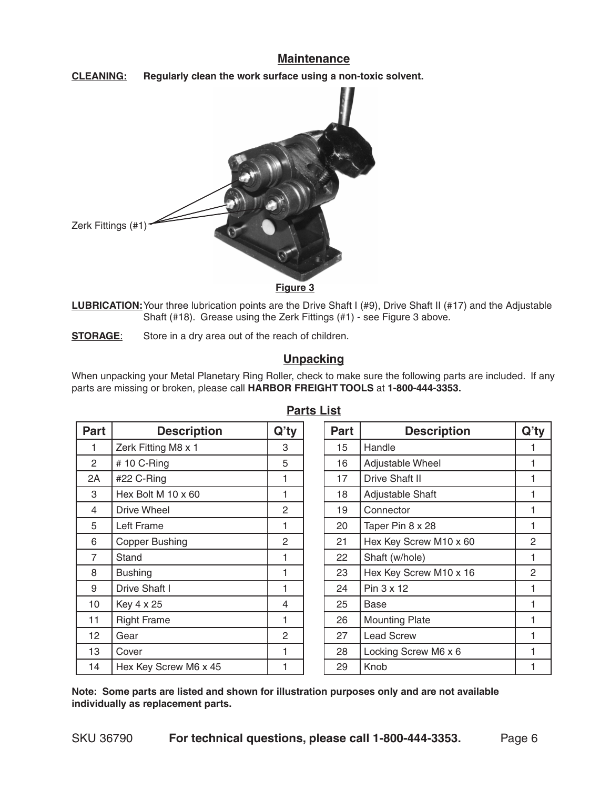#### **Maintenance**

**Cleaning: Regularly clean the work surface using a non-toxic solvent.**



**Figure 3** 

**LUBRICATION:**Your three lubrication points are the Drive Shaft I (#9), Drive Shaft II (#17) and the Adjustable Shaft (#18). Grease using the Zerk Fittings (#1) - see Figure 3 above.

**STORAGE:** Store in a dry area out of the reach of children.

#### **Unpacking**

When unpacking your Metal Planetary Ring Roller, check to make sure the following parts are included. If any parts are missing or broken, please call **HARBOR FREIGHT TOOLS** at **1-800-444-3353.**

| <b>Part</b>     | <b>Description</b>    | $Q'$ ty        | <b>Part</b> | <b>Description</b>     | $Q'$ ty |
|-----------------|-----------------------|----------------|-------------|------------------------|---------|
|                 | Zerk Fitting M8 x 1   | 3              | 15          | Handle                 |         |
| $\overline{2}$  | # 10 C-Ring           | 5              | 16          | Adjustable Wheel       |         |
| 2A              | #22 C-Ring            | 1              | 17          | Drive Shaft II         | 1       |
| 3               | Hex Bolt M 10 x 60    |                | 18          | Adjustable Shaft       |         |
| 4               | Drive Wheel           | $\overline{2}$ | 19          | Connector              |         |
| 5               | Left Frame            |                | 20          | Taper Pin 8 x 28       | 1       |
| 6               | Copper Bushing        | 2              | 21          | Hex Key Screw M10 x 60 | 2       |
| $\overline{7}$  | Stand                 |                | 22          | Shaft (w/hole)         | 1       |
| 8               | <b>Bushing</b>        |                | 23          | Hex Key Screw M10 x 16 | 2       |
| 9               | Drive Shaft I         | 1              | 24          | Pin 3 x 12             | 1       |
| 10              | Key 4 x 25            | 4              | 25          | Base                   | 1       |
| 11              | <b>Right Frame</b>    |                | 26          | <b>Mounting Plate</b>  | 1       |
| 12 <sup>2</sup> | Gear                  | $\overline{2}$ | 27          | <b>Lead Screw</b>      | 1       |
| 13              | Cover                 |                | 28          | Locking Screw M6 x 6   | 1       |
| 14              | Hex Key Screw M6 x 45 |                | 29          | Knob                   |         |

**Parts List**

**Note: Some parts are listed and shown for illustration purposes only and are not available individually as replacement parts.**